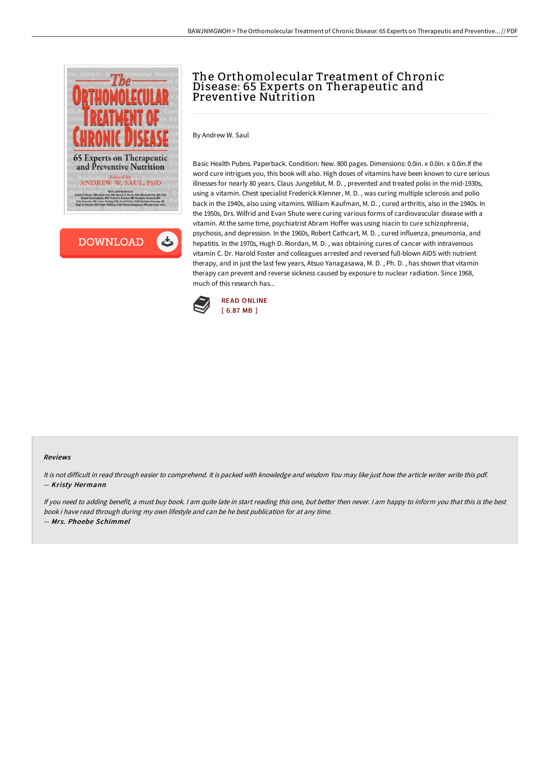



## The Orthomolecular Treatment of Chronic Disease: 65 Experts on Therapeutic and Preventive Nutrition

By Andrew W. Saul

Basic Health Pubns. Paperback. Condition: New. 800 pages. Dimensions: 0.0in. x 0.0in. x 0.0in.If the word cure intrigues you, this book will also. High doses of vitamins have been known to cure serious illnesses for nearly 80 years. Claus Jungeblut, M. D. , prevented and treated polio in the mid-1930s, using a vitamin. Chest specialist Frederick Klenner, M. D. , was curing multiple sclerosis and polio back in the 1940s, also using vitamins. William Kaufman, M. D. , cured arthritis, also in the 1940s. In the 1950s, Drs. Wilfrid and Evan Shute were curing various forms of cardiovascular disease with a vitamin. At the same time, psychiatrist Abram Hoffer was using niacin to cure schizophrenia, psychosis, and depression. In the 1960s, Robert Cathcart, M. D. , cured influenza, pneumonia, and hepatitis. In the 1970s, Hugh D. Riordan, M. D. , was obtaining cures of cancer with intravenous vitamin C. Dr. Harold Foster and colleagues arrested and reversed full-blown AIDS with nutrient therapy, and in just the last few years, Atsuo Yanagasawa, M. D. , Ph. D. , has shown that vitamin therapy can prevent and reverse sickness caused by exposure to nuclear radiation. Since 1968, much of this research has...



## Reviews

It is not difficult in read through easier to comprehend. It is packed with knowledge and wisdom You may like just how the article writer write this pdf. -- Kristy Hermann

If you need to adding benefit, <sup>a</sup> must buy book. <sup>I</sup> am quite late in start reading this one, but better then never. <sup>I</sup> am happy to inform you that this is the best book i have read through during my own lifestyle and can be he best publication for at any time. -- Mrs. Phoebe Schimmel